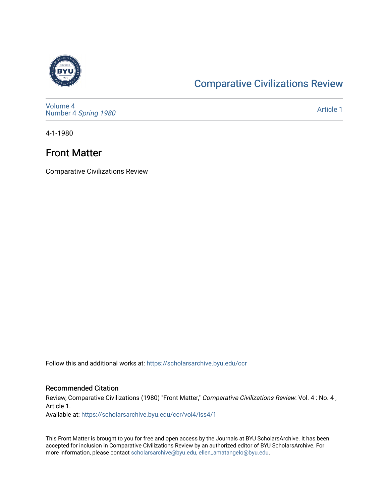

## [Comparative Civilizations Review](https://scholarsarchive.byu.edu/ccr)

[Volume 4](https://scholarsarchive.byu.edu/ccr/vol4) Number 4 [Spring 1980](https://scholarsarchive.byu.edu/ccr/vol4/iss4) 

[Article 1](https://scholarsarchive.byu.edu/ccr/vol4/iss4/1) 

4-1-1980

## Front Matter

Comparative Civilizations Review

Follow this and additional works at: [https://scholarsarchive.byu.edu/ccr](https://scholarsarchive.byu.edu/ccr?utm_source=scholarsarchive.byu.edu%2Fccr%2Fvol4%2Fiss4%2F1&utm_medium=PDF&utm_campaign=PDFCoverPages) 

### Recommended Citation

Review, Comparative Civilizations (1980) "Front Matter," Comparative Civilizations Review: Vol. 4 : No. 4, Article 1.

Available at: [https://scholarsarchive.byu.edu/ccr/vol4/iss4/1](https://scholarsarchive.byu.edu/ccr/vol4/iss4/1?utm_source=scholarsarchive.byu.edu%2Fccr%2Fvol4%2Fiss4%2F1&utm_medium=PDF&utm_campaign=PDFCoverPages) 

This Front Matter is brought to you for free and open access by the Journals at BYU ScholarsArchive. It has been accepted for inclusion in Comparative Civilizations Review by an authorized editor of BYU ScholarsArchive. For more information, please contact [scholarsarchive@byu.edu, ellen\\_amatangelo@byu.edu.](mailto:scholarsarchive@byu.edu,%20ellen_amatangelo@byu.edu)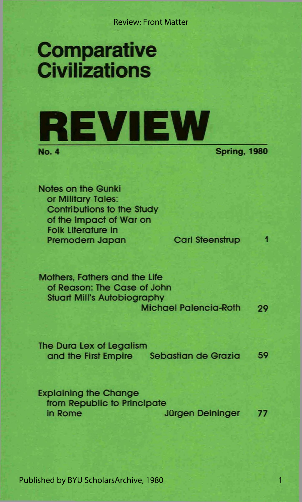Review: Front Matter

# **Comparative Civilizations**



**Spring, 1980** 

**Notes on the Gunki or Military Tales: Contributions to the Study of the Impact of War on Folk Literature in Premodern Japan Carl Steenstrup 1** 

**Mothers, Fathers and the Life of Reason: The Case of John Stuart Mill's Autobiography Michael Palencia-Roth 29** 

**The Dura Lex of Legalism and the First Empire Sebastian de Grazia 59** 

**Explaining the Change from Republic to Principate in Rome Jürgen Deininger** 77